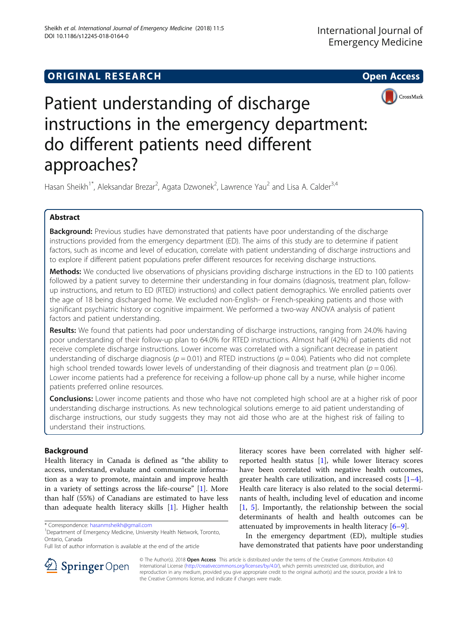## **ORIGINAL RESEARCH And Access** open Access





# Patient understanding of discharge instructions in the emergency department: do different patients need different approaches?

Hasan Sheikh<sup>1\*</sup>, Aleksandar Brezar<sup>2</sup>, Agata Dzwonek<sup>2</sup>, Lawrence Yau<sup>2</sup> and Lisa A. Calder<sup>3,4</sup>

## Abstract

Background: Previous studies have demonstrated that patients have poor understanding of the discharge instructions provided from the emergency department (ED). The aims of this study are to determine if patient factors, such as income and level of education, correlate with patient understanding of discharge instructions and to explore if different patient populations prefer different resources for receiving discharge instructions.

Methods: We conducted live observations of physicians providing discharge instructions in the ED to 100 patients followed by a patient survey to determine their understanding in four domains (diagnosis, treatment plan, followup instructions, and return to ED (RTED) instructions) and collect patient demographics. We enrolled patients over the age of 18 being discharged home. We excluded non-English- or French-speaking patients and those with significant psychiatric history or cognitive impairment. We performed a two-way ANOVA analysis of patient factors and patient understanding.

Results: We found that patients had poor understanding of discharge instructions, ranging from 24.0% having poor understanding of their follow-up plan to 64.0% for RTED instructions. Almost half (42%) of patients did not receive complete discharge instructions. Lower income was correlated with a significant decrease in patient understanding of discharge diagnosis ( $p = 0.01$ ) and RTED instructions ( $p = 0.04$ ). Patients who did not complete high school trended towards lower levels of understanding of their diagnosis and treatment plan ( $p = 0.06$ ). Lower income patients had a preference for receiving a follow-up phone call by a nurse, while higher income patients preferred online resources.

**Conclusions:** Lower income patients and those who have not completed high school are at a higher risk of poor understanding discharge instructions. As new technological solutions emerge to aid patient understanding of discharge instructions, our study suggests they may not aid those who are at the highest risk of failing to understand their instructions.

## Background

Health literacy in Canada is defined as "the ability to access, understand, evaluate and communicate information as a way to promote, maintain and improve health in a variety of settings across the life-course" [\[1\]](#page-5-0). More than half (55%) of Canadians are estimated to have less than adequate health literacy skills [\[1](#page-5-0)]. Higher health literacy scores have been correlated with higher selfreported health status [[1\]](#page-5-0), while lower literacy scores have been correlated with negative health outcomes, greater health care utilization, and increased costs [\[1](#page-5-0)–[4](#page-5-0)]. Health care literacy is also related to the social determinants of health, including level of education and income [[1,](#page-5-0) [5](#page-5-0)]. Importantly, the relationship between the social determinants of health and health outcomes can be attenuated by improvements in health literacy [\[6](#page-5-0)–[9](#page-5-0)].

In the emergency department (ED), multiple studies have demonstrated that patients have poor understanding



© The Author(s). 2018 Open Access This article is distributed under the terms of the Creative Commons Attribution 4.0 International License ([http://creativecommons.org/licenses/by/4.0/\)](http://creativecommons.org/licenses/by/4.0/), which permits unrestricted use, distribution, and reproduction in any medium, provided you give appropriate credit to the original author(s) and the source, provide a link to the Creative Commons license, and indicate if changes were made.

<sup>\*</sup> Correspondence: [hasanmsheikh@gmail.com](mailto:hasanmsheikh@gmail.com) <sup>1</sup>

<sup>&</sup>lt;sup>1</sup>Department of Emergency Medicine, University Health Network, Toronto, Ontario, Canada

Full list of author information is available at the end of the article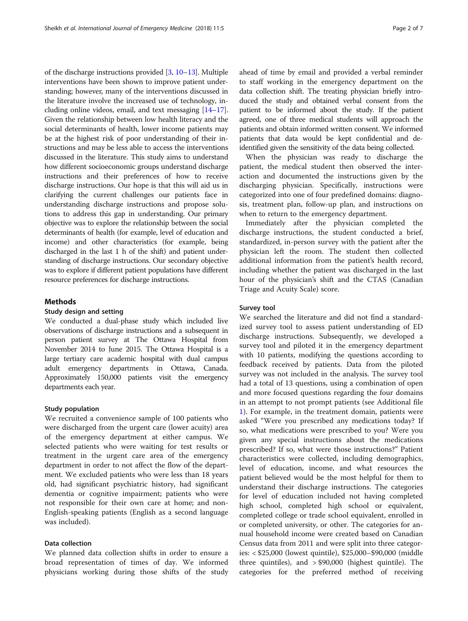of the discharge instructions provided [[3,](#page-5-0) [10](#page-5-0)–[13](#page-6-0)]. Multiple interventions have been shown to improve patient understanding; however, many of the interventions discussed in the literature involve the increased use of technology, including online videos, email, and text messaging [\[14](#page-6-0)–[17](#page-6-0)]. Given the relationship between low health literacy and the social determinants of health, lower income patients may be at the highest risk of poor understanding of their instructions and may be less able to access the interventions discussed in the literature. This study aims to understand how different socioeconomic groups understand discharge instructions and their preferences of how to receive discharge instructions. Our hope is that this will aid us in clarifying the current challenges our patients face in understanding discharge instructions and propose solutions to address this gap in understanding. Our primary objective was to explore the relationship between the social determinants of health (for example, level of education and income) and other characteristics (for example, being discharged in the last 1 h of the shift) and patient understanding of discharge instructions. Our secondary objective was to explore if different patient populations have different resource preferences for discharge instructions.

## Methods

## Study design and setting

We conducted a dual-phase study which included live observations of discharge instructions and a subsequent in person patient survey at The Ottawa Hospital from November 2014 to June 2015. The Ottawa Hospital is a large tertiary care academic hospital with dual campus adult emergency departments in Ottawa, Canada. Approximately 150,000 patients visit the emergency departments each year.

### Study population

We recruited a convenience sample of 100 patients who were discharged from the urgent care (lower acuity) area of the emergency department at either campus. We selected patients who were waiting for test results or treatment in the urgent care area of the emergency department in order to not affect the flow of the department. We excluded patients who were less than 18 years old, had significant psychiatric history, had significant dementia or cognitive impairment; patients who were not responsible for their own care at home; and non-English-speaking patients (English as a second language was included).

## Data collection

We planned data collection shifts in order to ensure a broad representation of times of day. We informed physicians working during those shifts of the study ahead of time by email and provided a verbal reminder to staff working in the emergency department on the data collection shift. The treating physician briefly introduced the study and obtained verbal consent from the patient to be informed about the study. If the patient agreed, one of three medical students will approach the patients and obtain informed written consent. We informed patients that data would be kept confidential and deidentified given the sensitivity of the data being collected.

When the physician was ready to discharge the patient, the medical student then observed the interaction and documented the instructions given by the discharging physician. Specifically, instructions were categorized into one of four predefined domains: diagnosis, treatment plan, follow-up plan, and instructions on when to return to the emergency department.

Immediately after the physician completed the discharge instructions, the student conducted a brief, standardized, in-person survey with the patient after the physician left the room. The student then collected additional information from the patient's health record, including whether the patient was discharged in the last hour of the physician's shift and the CTAS (Canadian Triage and Acuity Scale) score.

### Survey tool

We searched the literature and did not find a standardized survey tool to assess patient understanding of ED discharge instructions. Subsequently, we developed a survey tool and piloted it in the emergency department with 10 patients, modifying the questions according to feedback received by patients. Data from the piloted survey was not included in the analysis. The survey tool had a total of 13 questions, using a combination of open and more focused questions regarding the four domains in an attempt to not prompt patients (see Additional file [1\)](#page-5-0). For example, in the treatment domain, patients were asked "Were you prescribed any medications today? If so, what medications were prescribed to you? Were you given any special instructions about the medications prescribed? If so, what were those instructions?" Patient characteristics were collected, including demographics, level of education, income, and what resources the patient believed would be the most helpful for them to understand their discharge instructions. The categories for level of education included not having completed high school, completed high school or equivalent, completed college or trade school equivalent, enrolled in or completed university, or other. The categories for annual household income were created based on Canadian Census data from 2011 and were split into three categories: < \$25,000 (lowest quintile), \$25,000–\$90,000 (middle three quintiles), and > \$90,000 (highest quintile). The categories for the preferred method of receiving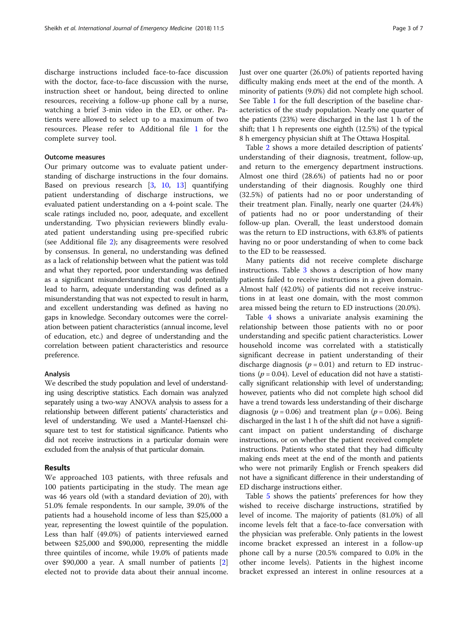discharge instructions included face-to-face discussion with the doctor, face-to-face discussion with the nurse, instruction sheet or handout, being directed to online resources, receiving a follow-up phone call by a nurse, watching a brief 3-min video in the ED, or other. Patients were allowed to select up to a maximum of two resources. Please refer to Additional file [1](#page-5-0) for the complete survey tool.

## Outcome measures

Our primary outcome was to evaluate patient understanding of discharge instructions in the four domains. Based on previous research [\[3](#page-5-0), [10](#page-5-0), [13](#page-6-0)] quantifying patient understanding of discharge instructions, we evaluated patient understanding on a 4-point scale. The scale ratings included no, poor, adequate, and excellent understanding. Two physician reviewers blindly evaluated patient understanding using pre-specified rubric (see Additional file [2](#page-5-0)); any disagreements were resolved by consensus. In general, no understanding was defined as a lack of relationship between what the patient was told and what they reported, poor understanding was defined as a significant misunderstanding that could potentially lead to harm, adequate understanding was defined as a misunderstanding that was not expected to result in harm, and excellent understanding was defined as having no gaps in knowledge. Secondary outcomes were the correlation between patient characteristics (annual income, level of education, etc.) and degree of understanding and the correlation between patient characteristics and resource preference.

#### Analysis

We described the study population and level of understanding using descriptive statistics. Each domain was analyzed separately using a two-way ANOVA analysis to assess for a relationship between different patients' characteristics and level of understanding. We used a Mantel-Haenszel chisquare test to test for statistical significance. Patients who did not receive instructions in a particular domain were excluded from the analysis of that particular domain.

## Results

We approached 103 patients, with three refusals and 100 patients participating in the study. The mean age was 46 years old (with a standard deviation of 20), with 51.0% female respondents. In our sample, 39.0% of the patients had a household income of less than \$25,000 a year, representing the lowest quintile of the population. Less than half (49.0%) of patients interviewed earned between \$25,000 and \$90,000, representing the middle three quintiles of income, while 19.0% of patients made over \$90,000 a year. A small number of patients [\[2](#page-5-0)] elected not to provide data about their annual income. Just over one quarter (26.0%) of patients reported having difficulty making ends meet at the end of the month. A minority of patients (9.0%) did not complete high school. See Table [1](#page-3-0) for the full description of the baseline characteristics of the study population. Nearly one quarter of the patients (23%) were discharged in the last 1 h of the shift; that 1 h represents one eighth (12.5%) of the typical 8 h emergency physician shift at The Ottawa Hospital.

Table [2](#page-3-0) shows a more detailed description of patients' understanding of their diagnosis, treatment, follow-up, and return to the emergency department instructions. Almost one third (28.6%) of patients had no or poor understanding of their diagnosis. Roughly one third (32.5%) of patients had no or poor understanding of their treatment plan. Finally, nearly one quarter (24.4%) of patients had no or poor understanding of their follow-up plan. Overall, the least understood domain was the return to ED instructions, with 63.8% of patients having no or poor understanding of when to come back to the ED to be reassessed.

Many patients did not receive complete discharge instructions. Table [3](#page-3-0) shows a description of how many patients failed to receive instructions in a given domain. Almost half (42.0%) of patients did not receive instructions in at least one domain, with the most common area missed being the return to ED instructions (20.0%).

Table [4](#page-4-0) shows a univariate analysis examining the relationship between those patients with no or poor understanding and specific patient characteristics. Lower household income was correlated with a statistically significant decrease in patient understanding of their discharge diagnosis ( $p = 0.01$ ) and return to ED instructions ( $p = 0.04$ ). Level of education did not have a statistically significant relationship with level of understanding; however, patients who did not complete high school did have a trend towards less understanding of their discharge diagnosis ( $p = 0.06$ ) and treatment plan ( $p = 0.06$ ). Being discharged in the last 1 h of the shift did not have a significant impact on patient understanding of discharge instructions, or on whether the patient received complete instructions. Patients who stated that they had difficulty making ends meet at the end of the month and patients who were not primarily English or French speakers did not have a significant difference in their understanding of ED discharge instructions either.

Table [5](#page-4-0) shows the patients' preferences for how they wished to receive discharge instructions, stratified by level of income. The majority of patients (81.0%) of all income levels felt that a face-to-face conversation with the physician was preferable. Only patients in the lowest income bracket expressed an interest in a follow-up phone call by a nurse (20.5% compared to 0.0% in the other income levels). Patients in the highest income bracket expressed an interest in online resources at a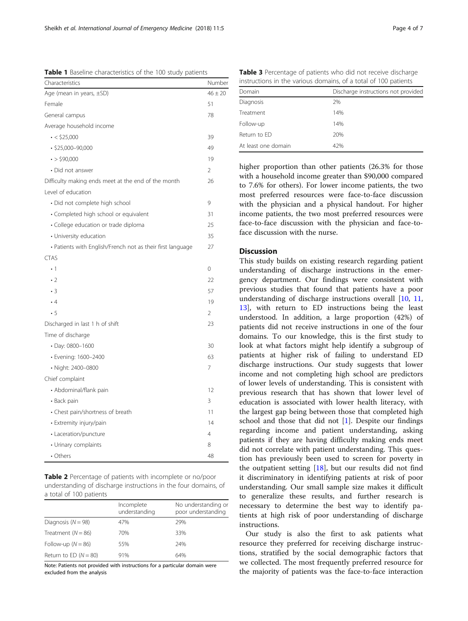<span id="page-3-0"></span>

|  |  | Table 1 Baseline characteristics of the 100 study patients |  |  |  |  |
|--|--|------------------------------------------------------------|--|--|--|--|
|--|--|------------------------------------------------------------|--|--|--|--|

| Characteristics                                            | Number         |
|------------------------------------------------------------|----------------|
| Age (mean in years, ±SD)                                   | $46 \pm 20$    |
| Female                                                     | 51             |
| General campus                                             | 78             |
| Average household income                                   |                |
| $\cdot$ < \$25,000                                         | 39             |
| $\cdot$ \$25,000-90,000                                    | 49             |
| $\cdot$ > \$90,000                                         | 19             |
| • Did not answer                                           | $\overline{2}$ |
| Difficulty making ends meet at the end of the month        | 26             |
| Level of education                                         |                |
| · Did not complete high school                             | 9              |
| • Completed high school or equivalent                      | 31             |
| · College education or trade diploma                       | 25             |
| • University education                                     | 35             |
| • Patients with English/French not as their first language | 27             |
| CTAS                                                       |                |
| $\cdot$ 1                                                  | 0              |
| $\cdot$ 2                                                  | 22             |
| $\cdot$ 3                                                  | 57             |
| $\cdot$ 4                                                  | 19             |
| $\cdot$ 5                                                  | $\overline{2}$ |
| Discharged in last 1 h of shift                            | 23             |
| Time of discharge                                          |                |
| • Day: 0800-1600                                           | 30             |
| • Evening: 1600-2400                                       | 63             |
| · Night: 2400-0800                                         | 7              |
| Chief complaint                                            |                |
| • Abdominal/flank pain                                     | 12             |
| • Back pain                                                | 3              |
| • Chest pain/shortness of breath                           | 11             |
| • Extremity injury/pain                                    | 14             |
| • Laceration/puncture                                      | 4              |
| • Urinary complaints                                       | 8              |
| • Others                                                   | 48             |

Table 2 Percentage of patients with incomplete or no/poor understanding of discharge instructions in the four domains, of a total of 100 patients

|                         | Incomplete<br>understanding | No understanding or<br>poor understanding |
|-------------------------|-----------------------------|-------------------------------------------|
| Diagnosis ( $N = 98$ )  | 47%                         | 29%                                       |
| Treatment $(N = 86)$    | 70%                         | 33%                                       |
| Follow-up $(N = 86)$    | 55%                         | 24%                                       |
| Return to ED $(N = 80)$ | 91%                         | 64%                                       |

Note: Patients not provided with instructions for a particular domain were excluded from the analysis

Table 3 Percentage of patients who did not receive discharge instructions in the various domains, of a total of 100 patients

| Discharge instructions not provided |
|-------------------------------------|
| 2%                                  |
| 14%                                 |
| 14%                                 |
| 20%                                 |
| 42%                                 |
|                                     |

higher proportion than other patients (26.3% for those with a household income greater than \$90,000 compared to 7.6% for others). For lower income patients, the two most preferred resources were face-to-face discussion with the physician and a physical handout. For higher income patients, the two most preferred resources were face-to-face discussion with the physician and face-toface discussion with the nurse.

## Discussion

This study builds on existing research regarding patient understanding of discharge instructions in the emergency department. Our findings were consistent with previous studies that found that patients have a poor understanding of discharge instructions overall [\[10](#page-5-0), [11](#page-6-0), [13\]](#page-6-0), with return to ED instructions being the least understood. In addition, a large proportion (42%) of patients did not receive instructions in one of the four domains. To our knowledge, this is the first study to look at what factors might help identify a subgroup of patients at higher risk of failing to understand ED discharge instructions. Our study suggests that lower income and not completing high school are predictors of lower levels of understanding. This is consistent with previous research that has shown that lower level of education is associated with lower health literacy, with the largest gap being between those that completed high school and those that did not [[1\]](#page-5-0). Despite our findings regarding income and patient understanding, asking patients if they are having difficulty making ends meet did not correlate with patient understanding. This question has previously been used to screen for poverty in the outpatient setting  $[18]$  $[18]$ , but our results did not find it discriminatory in identifying patients at risk of poor understanding. Our small sample size makes it difficult to generalize these results, and further research is necessary to determine the best way to identify patients at high risk of poor understanding of discharge instructions.

Our study is also the first to ask patients what resource they preferred for receiving discharge instructions, stratified by the social demographic factors that we collected. The most frequently preferred resource for the majority of patients was the face-to-face interaction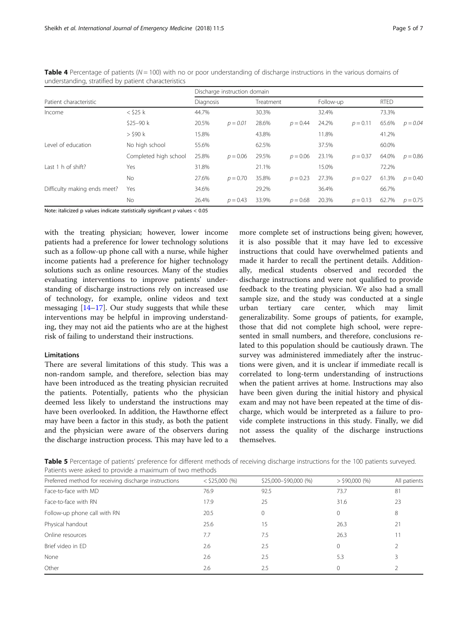|                              |                       | Discharge instruction domain |            |           |            |           |            |             |            |
|------------------------------|-----------------------|------------------------------|------------|-----------|------------|-----------|------------|-------------|------------|
| Patient characteristic       |                       | Diagnosis                    |            | Treatment |            | Follow-up |            | <b>RTED</b> |            |
| Income                       | $<$ \$25 k            | 44.7%                        |            | 30.3%     |            | 32.4%     |            | 73.3%       |            |
|                              | $$25 - 90 k$          | 20.5%                        | $p = 0.01$ | 28.6%     | $p = 0.44$ | 24.2%     | $p = 0.11$ | 65.6%       | $p = 0.04$ |
|                              | $>$ \$90 k            | 15.8%                        |            | 43.8%     |            | 11.8%     |            | 41.2%       |            |
| Level of education           | No high school        | 55.6%                        |            | 62.5%     |            | 37.5%     |            | 60.0%       |            |
|                              | Completed high school | 25.8%                        | $p = 0.06$ | 29.5%     | $p = 0.06$ | 23.1%     | $p = 0.37$ | 64.0%       | $p = 0.86$ |
| Last 1 h of shift?           | Yes                   | 31.8%                        |            | 21.1%     |            | 15.0%     |            | 72.2%       |            |
|                              | No                    | 27.6%                        | $p = 0.70$ | 35.8%     | $p = 0.23$ | 27.3%     | $p = 0.27$ | 61.3%       | $p = 0.40$ |
| Difficulty making ends meet? | Yes                   | 34.6%                        |            | 29.2%     |            | 36.4%     |            | 66.7%       |            |
|                              | No                    | 26.4%                        | $p = 0.43$ | 33.9%     | $p = 0.68$ | 20.3%     | $p = 0.13$ | 62.7%       | $p = 0.75$ |

<span id="page-4-0"></span>Table 4 Percentage of patients ( $N = 100$ ) with no or poor understanding of discharge instructions in the various domains of understanding, stratified by patient characteristics

Note: italicized p values indicate statistically significant  $p$  values  $< 0.05$ 

with the treating physician; however, lower income patients had a preference for lower technology solutions such as a follow-up phone call with a nurse, while higher income patients had a preference for higher technology solutions such as online resources. Many of the studies evaluating interventions to improve patients' understanding of discharge instructions rely on increased use of technology, for example, online videos and text messaging  $[14–17]$  $[14–17]$  $[14–17]$  $[14–17]$  $[14–17]$ . Our study suggests that while these interventions may be helpful in improving understanding, they may not aid the patients who are at the highest risk of failing to understand their instructions.

## **Limitations**

There are several limitations of this study. This was a non-random sample, and therefore, selection bias may have been introduced as the treating physician recruited the patients. Potentially, patients who the physician deemed less likely to understand the instructions may have been overlooked. In addition, the Hawthorne effect may have been a factor in this study, as both the patient and the physician were aware of the observers during the discharge instruction process. This may have led to a more complete set of instructions being given; however, it is also possible that it may have led to excessive instructions that could have overwhelmed patients and made it harder to recall the pertinent details. Additionally, medical students observed and recorded the discharge instructions and were not qualified to provide feedback to the treating physician. We also had a small sample size, and the study was conducted at a single urban tertiary care center, which may limit generalizability. Some groups of patients, for example, those that did not complete high school, were represented in small numbers, and therefore, conclusions related to this population should be cautiously drawn. The survey was administered immediately after the instructions were given, and it is unclear if immediate recall is correlated to long-term understanding of instructions when the patient arrives at home. Instructions may also have been given during the initial history and physical exam and may not have been repeated at the time of discharge, which would be interpreted as a failure to provide complete instructions in this study. Finally, we did not assess the quality of the discharge instructions themselves.

Table 5 Percentage of patients' preference for different methods of receiving discharge instructions for the 100 patients surveyed. Patients were asked to provide a maximum of two methods

| Preferred method for receiving discharge instructions | $<$ \$25,000 (%) | \$25,000-\$90,000 (%) | $>$ \$90,000 (%) | All patients |
|-------------------------------------------------------|------------------|-----------------------|------------------|--------------|
| Face-to-face with MD                                  | 76.9             | 92.5                  | 73.7             | 81           |
| Face-to-face with RN                                  | 17.9             | 25                    | 31.6             | 23           |
| Follow-up phone call with RN                          | 20.5             | $\Omega$              | 0                | 8            |
| Physical handout                                      | 25.6             | 15                    | 26.3             | 21           |
| Online resources                                      | 7.7              | 7.5                   | 26.3             | 11           |
| Brief video in ED                                     | 2.6              | 2.5                   | $\Omega$         |              |
| None                                                  | 2.6              | 2.5                   | 5.3              | 3            |
| Other                                                 | 2.6              | 2.5                   | $\Omega$         |              |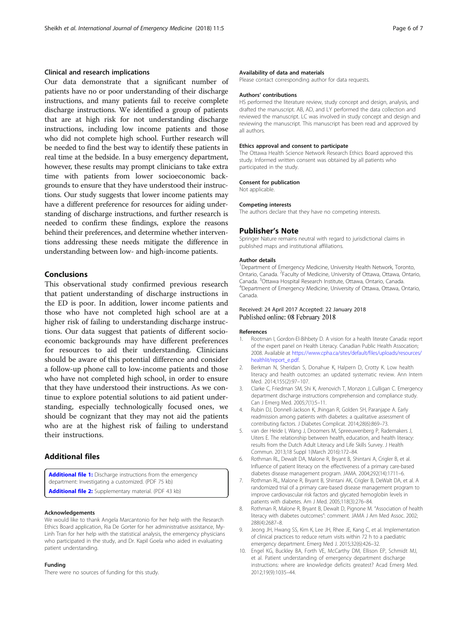## <span id="page-5-0"></span>Clinical and research implications

Our data demonstrate that a significant number of patients have no or poor understanding of their discharge instructions, and many patients fail to receive complete discharge instructions. We identified a group of patients that are at high risk for not understanding discharge instructions, including low income patients and those who did not complete high school. Further research will be needed to find the best way to identify these patients in real time at the bedside. In a busy emergency department, however, these results may prompt clinicians to take extra time with patients from lower socioeconomic backgrounds to ensure that they have understood their instructions. Our study suggests that lower income patients may have a different preference for resources for aiding understanding of discharge instructions, and further research is needed to confirm these findings, explore the reasons behind their preferences, and determine whether interventions addressing these needs mitigate the difference in understanding between low- and high-income patients.

## Conclusions

This observational study confirmed previous research that patient understanding of discharge instructions in the ED is poor. In addition, lower income patients and those who have not completed high school are at a higher risk of failing to understanding discharge instructions. Our data suggest that patients of different socioeconomic backgrounds may have different preferences for resources to aid their understanding. Clinicians should be aware of this potential difference and consider a follow-up phone call to low-income patients and those who have not completed high school, in order to ensure that they have understood their instructions. As we continue to explore potential solutions to aid patient understanding, especially technologically focused ones, we should be cognizant that they may not aid the patients who are at the highest risk of failing to understand their instructions.

## Additional files

[Additional file 1:](dx.doi.org/10.1186/s12245-018-0164-0) Discharge instructions from the emergency department: Investigating a customized. (PDF 75 kb)

[Additional file 2:](dx.doi.org/10.1186/s12245-018-0164-0) Supplementary material. (PDF 43 kb)

#### Acknowledgements

We would like to thank Angela Marcantonio for her help with the Research Ethics Board application, Ria De Gorter for her administrative assistance, My-Linh Tran for her help with the statistical analysis, the emergency physicians who participated in the study, and Dr. Kapil Goela who aided in evaluating patient understanding.

#### Funding

There were no sources of funding for this study.

## Availability of data and materials

Please contact corresponding author for data requests.

#### Authors' contributions

HS performed the literature review, study concept and design, analysis, and drafted the manuscript. AB, AD, and LY performed the data collection and reviewed the manuscript. LC was involved in study concept and design and reviewing the manuscript. This manuscript has been read and approved by all authors.

#### Ethics approval and consent to participate

The Ottawa Health Science Network Research Ethics Board approved this study. Informed written consent was obtained by all patients who participated in the study.

## Consent for publication

Not applicable.

#### Competing interests

The authors declare that they have no competing interests.

#### Publisher's Note

Springer Nature remains neutral with regard to jurisdictional claims in published maps and institutional affiliations.

#### Author details

<sup>1</sup>Department of Emergency Medicine, University Health Network, Toronto Ontario, Canada. <sup>2</sup> Faculty of Medicine, University of Ottawa, Ottawa, Ontario, Canada. <sup>3</sup> Ottawa Hospital Research Institute, Ottawa, Ontario, Canada. <sup>4</sup> <sup>4</sup>Department of Emergency Medicine, University of Ottawa, Ottawa, Ontario, Canada.

## Received: 24 April 2017 Accepted: 22 January 2018 Published online: 08 February 2018

#### References

- 1. Rootman I, Gordon-El-Bihbety D. A vision for a health literate Canada: report of the expert panel on Health Literacy. Canadian Public Health Assocation; 2008. Available at [https://www.cpha.ca/sites/default/files/uploads/resources/](https://www.cpha.ca/sites/default/files/uploads/resources/healthlit/report_e.pdf) [healthlit/report\\_e.pdf](https://www.cpha.ca/sites/default/files/uploads/resources/healthlit/report_e.pdf).
- 2. Berkman N, Sheridan S, Donahue K, Halpern D, Crotty K. Low health literacy and health outcomes: an updated systematic review. Ann Intern Med. 2014;155(2):97–107.
- 3. Clarke C, Friedman SM, Shi K, Arenovich T, Monzon J, Culligan C. Emergency department discharge instructions comprehension and compliance study. Can J Emerg Med. 2005;7(1):5–11.
- 4. Rubin DJ, Donnell-Jackson K, Jhingan R, Golden SH, Paranjape A. Early readmission among patients with diabetes: a qualitative assessment of contributing factors. J Diabetes Complicat. 2014;28(6):869–73.
- 5. van der Heide I, Wang J, Droomers M, Spreeuwenberg P, Rademakers J, Uiters E. The relationship between health, education, and health literacy: results from the Dutch Adult Literacy and Life Skills Survey. J Health Commun. 2013;18 Suppl 1(March 2016):172–84.
- 6. Rothman RL, Dewalt DA, Malone R, Bryant B, Shintani A, Crigler B, et al. Influence of patient literacy on the effectiveness of a primary care-based diabetes disease management program. JAMA. 2004;292(14):1711–6.
- 7. Rothman RL, Malone R, Bryant B, Shintani AK, Crigler B, DeWalt DA, et al. A randomized trial of a primary care-based disease management program to improve cardiovascular risk factors and glycated hemoglobin levels in patients with diabetes. Am J Med. 2005;118(3):276–84.
- 8. Rothman R, Malone R, Bryant B, Dewalt D, Pignone M. "Association of health literacy with diabetes outcomes": comment. JAMA J Am Med Assoc. 2002; 288(4):2687–8.
- 9. Jeong JH, Hwang SS, Kim K, Lee JH, Rhee JE, Kang C, et al. Implementation of clinical practices to reduce return visits within 72 h to a paediatric emergency department. Emerg Med J. 2015;32(6):426–32.
- 10. Engel KG, Buckley BA, Forth VE, McCarthy DM, Ellison EP, Schmidt MJ, et al. Patient understanding of emergency department discharge instructions: where are knowledge deficits greatest? Acad Emerg Med. 2012;19(9):1035–44.